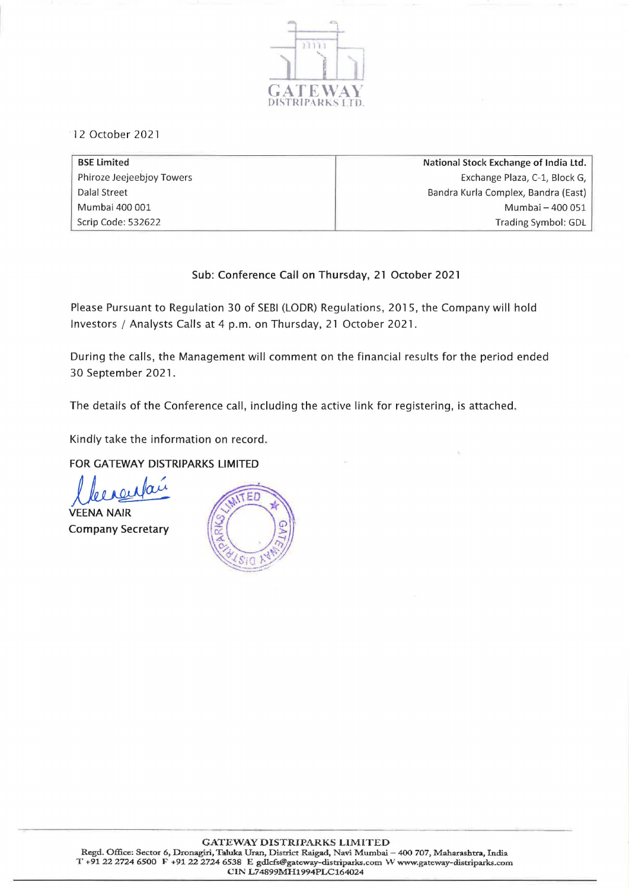

12 October 2021

| <b>BSE Limited</b>        | National Stock Exchange of India Ltd. |
|---------------------------|---------------------------------------|
| Phiroze Jeejeebjoy Towers | Exchange Plaza, C-1, Block G,         |
| Dalal Street              | Bandra Kurla Complex, Bandra (East)   |
| Mumbai 400 001            | Mumbai - 400 051                      |
| Scrip Code: 532622        | Trading Symbol: GDL                   |

# Sub: Conference Call on Thursday, 21 October 2021

Please Pursuant to Regulation 30 of SEBI (LODR) Regulations, 2015, the Company will hold Investors / Analysts Calls at 4 p.m. on Thursday, 21 October 2021.

During the calls, the Management will comment on the financial results for the period ended 30 September 2021.

The details of the Conference call, including the active link for registering, is attached.

Kindly take the information on record.

FOR GATEWAY DISTRIPARKS LIMITED

llerentaire

**VEENA NAIR** Company Secretary